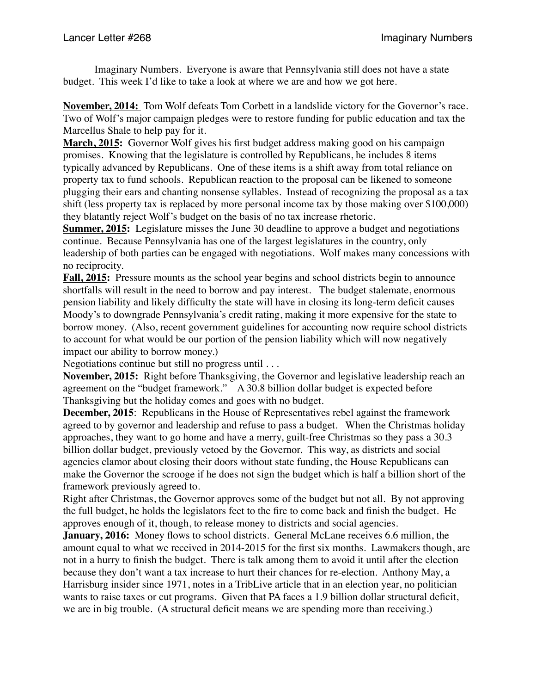Imaginary Numbers. Everyone is aware that Pennsylvania still does not have a state budget. This week I'd like to take a look at where we are and how we got here.

**November, 2014:** Tom Wolf defeats Tom Corbett in a landslide victory for the Governor's race. Two of Wolf's major campaign pledges were to restore funding for public education and tax the Marcellus Shale to help pay for it.

**March, 2015:** Governor Wolf gives his first budget address making good on his campaign promises. Knowing that the legislature is controlled by Republicans, he includes 8 items typically advanced by Republicans. One of these items is a shift away from total reliance on property tax to fund schools. Republican reaction to the proposal can be likened to someone plugging their ears and chanting nonsense syllables. Instead of recognizing the proposal as a tax shift (less property tax is replaced by more personal income tax by those making over \$100,000) they blatantly reject Wolf's budget on the basis of no tax increase rhetoric.

**Summer, 2015:** Legislature misses the June 30 deadline to approve a budget and negotiations continue. Because Pennsylvania has one of the largest legislatures in the country, only leadership of both parties can be engaged with negotiations. Wolf makes many concessions with no reciprocity.

**Fall, 2015:** Pressure mounts as the school year begins and school districts begin to announce shortfalls will result in the need to borrow and pay interest. The budget stalemate, enormous pension liability and likely difficulty the state will have in closing its long-term deficit causes Moody's to downgrade Pennsylvania's credit rating, making it more expensive for the state to borrow money. (Also, recent government guidelines for accounting now require school districts to account for what would be our portion of the pension liability which will now negatively impact our ability to borrow money.)

Negotiations continue but still no progress until . . .

**November, 2015:** Right before Thanksgiving, the Governor and legislative leadership reach an agreement on the "budget framework." A 30.8 billion dollar budget is expected before Thanksgiving but the holiday comes and goes with no budget.

**December, 2015**: Republicans in the House of Representatives rebel against the framework agreed to by governor and leadership and refuse to pass a budget. When the Christmas holiday approaches, they want to go home and have a merry, guilt-free Christmas so they pass a 30.3 billion dollar budget, previously vetoed by the Governor. This way, as districts and social agencies clamor about closing their doors without state funding, the House Republicans can make the Governor the scrooge if he does not sign the budget which is half a billion short of the framework previously agreed to.

Right after Christmas, the Governor approves some of the budget but not all. By not approving the full budget, he holds the legislators feet to the fire to come back and finish the budget. He approves enough of it, though, to release money to districts and social agencies.

**January, 2016:** Money flows to school districts. General McLane receives 6.6 million, the amount equal to what we received in 2014-2015 for the first six months. Lawmakers though, are not in a hurry to finish the budget. There is talk among them to avoid it until after the election because they don't want a tax increase to hurt their chances for re-election. Anthony May, a Harrisburg insider since 1971, notes in a TribLive article that in an election year, no politician wants to raise taxes or cut programs. Given that PA faces a 1.9 billion dollar structural deficit, we are in big trouble. (A structural deficit means we are spending more than receiving.)